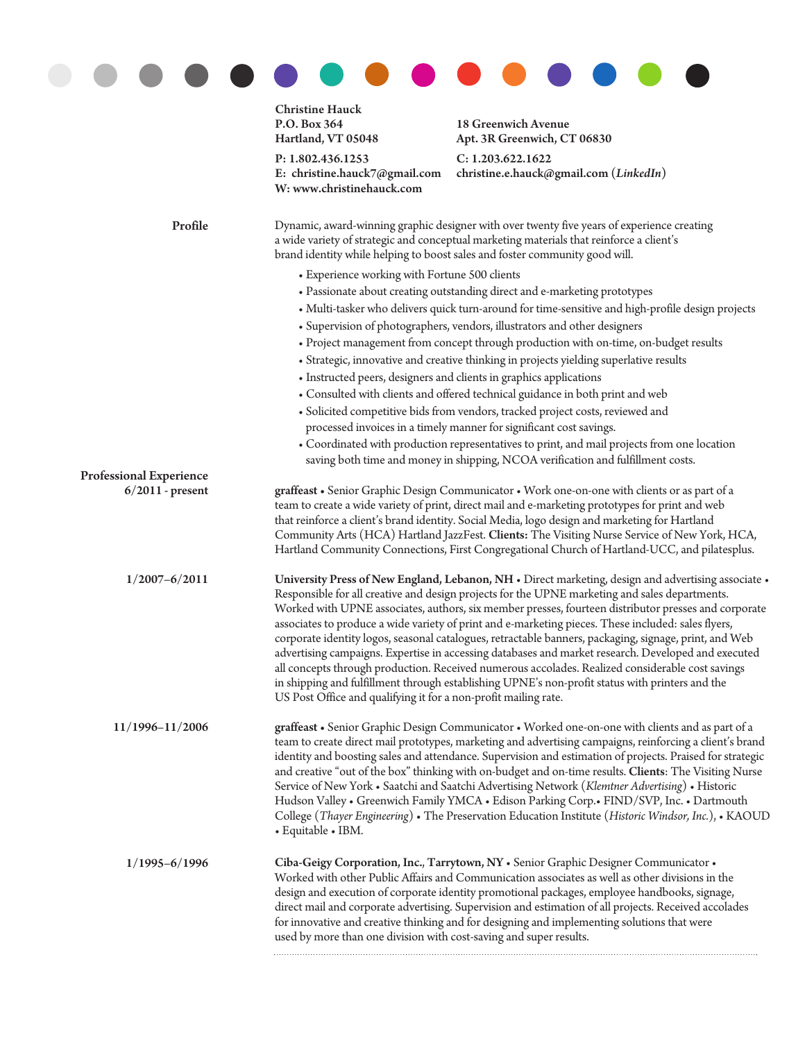|                         | <b>Christine Hauck</b><br>P.O. Box 364<br>Hartland, VT 05048                                                                                                                                                                                                                                                                                                                                                                                                                                                                                                                                                                                                                                                                                                                                                                                                                                                    | 18 Greenwich Avenue<br>Apt. 3R Greenwich, CT 06830                                                                                                                                                                                                                                                                                                                                                                                                                                               |  |
|-------------------------|-----------------------------------------------------------------------------------------------------------------------------------------------------------------------------------------------------------------------------------------------------------------------------------------------------------------------------------------------------------------------------------------------------------------------------------------------------------------------------------------------------------------------------------------------------------------------------------------------------------------------------------------------------------------------------------------------------------------------------------------------------------------------------------------------------------------------------------------------------------------------------------------------------------------|--------------------------------------------------------------------------------------------------------------------------------------------------------------------------------------------------------------------------------------------------------------------------------------------------------------------------------------------------------------------------------------------------------------------------------------------------------------------------------------------------|--|
|                         | P: 1.802.436.1253<br>E: christine.hauck7@gmail.com<br>W: www.christinehauck.com                                                                                                                                                                                                                                                                                                                                                                                                                                                                                                                                                                                                                                                                                                                                                                                                                                 | C: 1.203.622.1622<br>christine.e.hauck@gmail.com (LinkedIn)                                                                                                                                                                                                                                                                                                                                                                                                                                      |  |
| Profile                 | Dynamic, award-winning graphic designer with over twenty five years of experience creating<br>a wide variety of strategic and conceptual marketing materials that reinforce a client's<br>brand identity while helping to boost sales and foster community good will.                                                                                                                                                                                                                                                                                                                                                                                                                                                                                                                                                                                                                                           |                                                                                                                                                                                                                                                                                                                                                                                                                                                                                                  |  |
|                         | • Experience working with Fortune 500 clients                                                                                                                                                                                                                                                                                                                                                                                                                                                                                                                                                                                                                                                                                                                                                                                                                                                                   |                                                                                                                                                                                                                                                                                                                                                                                                                                                                                                  |  |
|                         | • Passionate about creating outstanding direct and e-marketing prototypes                                                                                                                                                                                                                                                                                                                                                                                                                                                                                                                                                                                                                                                                                                                                                                                                                                       |                                                                                                                                                                                                                                                                                                                                                                                                                                                                                                  |  |
|                         |                                                                                                                                                                                                                                                                                                                                                                                                                                                                                                                                                                                                                                                                                                                                                                                                                                                                                                                 | • Multi-tasker who delivers quick turn-around for time-sensitive and high-profile design projects                                                                                                                                                                                                                                                                                                                                                                                                |  |
|                         | • Supervision of photographers, vendors, illustrators and other designers                                                                                                                                                                                                                                                                                                                                                                                                                                                                                                                                                                                                                                                                                                                                                                                                                                       |                                                                                                                                                                                                                                                                                                                                                                                                                                                                                                  |  |
|                         | • Project management from concept through production with on-time, on-budget results                                                                                                                                                                                                                                                                                                                                                                                                                                                                                                                                                                                                                                                                                                                                                                                                                            |                                                                                                                                                                                                                                                                                                                                                                                                                                                                                                  |  |
|                         | • Strategic, innovative and creative thinking in projects yielding superlative results                                                                                                                                                                                                                                                                                                                                                                                                                                                                                                                                                                                                                                                                                                                                                                                                                          |                                                                                                                                                                                                                                                                                                                                                                                                                                                                                                  |  |
|                         | • Instructed peers, designers and clients in graphics applications                                                                                                                                                                                                                                                                                                                                                                                                                                                                                                                                                                                                                                                                                                                                                                                                                                              |                                                                                                                                                                                                                                                                                                                                                                                                                                                                                                  |  |
|                         | • Consulted with clients and offered technical guidance in both print and web                                                                                                                                                                                                                                                                                                                                                                                                                                                                                                                                                                                                                                                                                                                                                                                                                                   |                                                                                                                                                                                                                                                                                                                                                                                                                                                                                                  |  |
|                         | · Solicited competitive bids from vendors, tracked project costs, reviewed and                                                                                                                                                                                                                                                                                                                                                                                                                                                                                                                                                                                                                                                                                                                                                                                                                                  |                                                                                                                                                                                                                                                                                                                                                                                                                                                                                                  |  |
|                         |                                                                                                                                                                                                                                                                                                                                                                                                                                                                                                                                                                                                                                                                                                                                                                                                                                                                                                                 | processed invoices in a timely manner for significant cost savings.                                                                                                                                                                                                                                                                                                                                                                                                                              |  |
|                         |                                                                                                                                                                                                                                                                                                                                                                                                                                                                                                                                                                                                                                                                                                                                                                                                                                                                                                                 | • Coordinated with production representatives to print, and mail projects from one location<br>saving both time and money in shipping, NCOA verification and fulfillment costs.                                                                                                                                                                                                                                                                                                                  |  |
| Professional Experience |                                                                                                                                                                                                                                                                                                                                                                                                                                                                                                                                                                                                                                                                                                                                                                                                                                                                                                                 |                                                                                                                                                                                                                                                                                                                                                                                                                                                                                                  |  |
| $6/2011$ - present      | graffeast • Senior Graphic Design Communicator • Work one-on-one with clients or as part of a<br>team to create a wide variety of print, direct mail and e-marketing prototypes for print and web<br>that reinforce a client's brand identity. Social Media, logo design and marketing for Hartland<br>Community Arts (HCA) Hartland JazzFest. Clients: The Visiting Nurse Service of New York, HCA,<br>Hartland Community Connections, First Congregational Church of Hartland-UCC, and pilatesplus.                                                                                                                                                                                                                                                                                                                                                                                                           |                                                                                                                                                                                                                                                                                                                                                                                                                                                                                                  |  |
| $1/2007 - 6/2011$       | University Press of New England, Lebanon, NH · Direct marketing, design and advertising associate ·<br>Responsible for all creative and design projects for the UPNE marketing and sales departments.<br>Worked with UPNE associates, authors, six member presses, fourteen distributor presses and corporate<br>associates to produce a wide variety of print and e-marketing pieces. These included: sales flyers,<br>corporate identity logos, seasonal catalogues, retractable banners, packaging, signage, print, and Web<br>advertising campaigns. Expertise in accessing databases and market research. Developed and executed<br>all concepts through production. Received numerous accolades. Realized considerable cost savings<br>in shipping and fulfillment through establishing UPNE's non-profit status with printers and the<br>US Post Office and qualifying it for a non-profit mailing rate. |                                                                                                                                                                                                                                                                                                                                                                                                                                                                                                  |  |
| 11/1996-11/2006         | graffeast • Senior Graphic Design Communicator • Worked one-on-one with clients and as part of a<br>team to create direct mail prototypes, marketing and advertising campaigns, reinforcing a client's brand<br>identity and boosting sales and attendance. Supervision and estimation of projects. Praised for strategic<br>and creative "out of the box" thinking with on-budget and on-time results. Clients: The Visiting Nurse<br>Service of New York • Saatchi and Saatchi Advertising Network (Klemtner Advertising) • Historic<br>Hudson Valley • Greenwich Family YMCA • Edison Parking Corp. • FIND/SVP, Inc. • Dartmouth<br>College (Thayer Engineering) • The Preservation Education Institute (Historic Windsor, Inc.), • KAOUD<br>• Equitable • IBM.                                                                                                                                              |                                                                                                                                                                                                                                                                                                                                                                                                                                                                                                  |  |
| $1/1995 - 6/1996$       | used by more than one division with cost-saving and super results.                                                                                                                                                                                                                                                                                                                                                                                                                                                                                                                                                                                                                                                                                                                                                                                                                                              | Ciba-Geigy Corporation, Inc., Tarrytown, NY . Senior Graphic Designer Communicator .<br>Worked with other Public Affairs and Communication associates as well as other divisions in the<br>design and execution of corporate identity promotional packages, employee handbooks, signage,<br>direct mail and corporate advertising. Supervision and estimation of all projects. Received accolades<br>for innovative and creative thinking and for designing and implementing solutions that were |  |
|                         |                                                                                                                                                                                                                                                                                                                                                                                                                                                                                                                                                                                                                                                                                                                                                                                                                                                                                                                 |                                                                                                                                                                                                                                                                                                                                                                                                                                                                                                  |  |